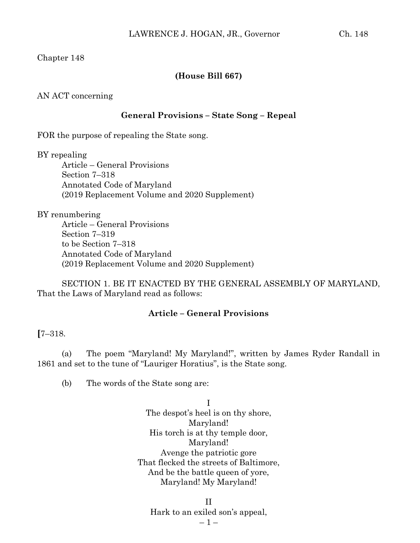# Chapter 148

## **(House Bill 667)**

AN ACT concerning

## **General Provisions – State Song – Repeal**

FOR the purpose of repealing the State song.

#### BY repealing

Article – General Provisions Section 7–318 Annotated Code of Maryland (2019 Replacement Volume and 2020 Supplement)

#### BY renumbering

Article – General Provisions Section 7–319 to be Section 7–318 Annotated Code of Maryland (2019 Replacement Volume and 2020 Supplement)

SECTION 1. BE IT ENACTED BY THE GENERAL ASSEMBLY OF MARYLAND, That the Laws of Maryland read as follows:

## **Article – General Provisions**

# **[**7–318.

(a) The poem "Maryland! My Maryland!", written by James Ryder Randall in 1861 and set to the tune of "Lauriger Horatius", is the State song.

(b) The words of the State song are:

I The despot's heel is on thy shore, Maryland! His torch is at thy temple door, Maryland! Avenge the patriotic gore That flecked the streets of Baltimore, And be the battle queen of yore, Maryland! My Maryland!

II Hark to an exiled son's appeal,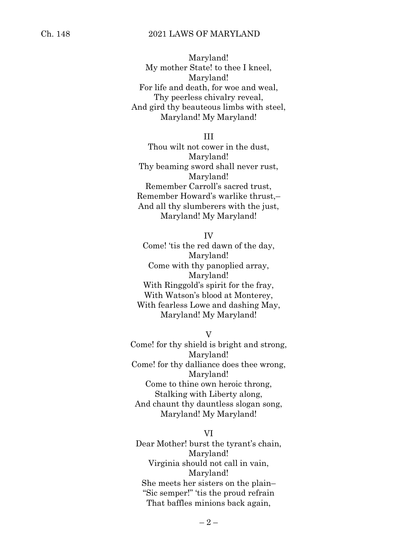## Ch. 148 2021 LAWS OF MARYLAND

Maryland! My mother State! to thee I kneel, Maryland! For life and death, for woe and weal, Thy peerless chivalry reveal, And gird thy beauteous limbs with steel, Maryland! My Maryland!

III

Thou wilt not cower in the dust, Maryland! Thy beaming sword shall never rust, Maryland! Remember Carroll's sacred trust, Remember Howard's warlike thrust,– And all thy slumberers with the just, Maryland! My Maryland!

IV

Come! 'tis the red dawn of the day, Maryland! Come with thy panoplied array, Maryland! With Ringgold's spirit for the fray, With Watson's blood at Monterey, With fearless Lowe and dashing May, Maryland! My Maryland!

 $\rm V$ 

Come! for thy shield is bright and strong, Maryland! Come! for thy dalliance does thee wrong, Maryland! Come to thine own heroic throng, Stalking with Liberty along, And chaunt thy dauntless slogan song, Maryland! My Maryland!

VI Dear Mother! burst the tyrant's chain, Maryland! Virginia should not call in vain, Maryland! She meets her sisters on the plain– "Sic semper!" 'tis the proud refrain That baffles minions back again,